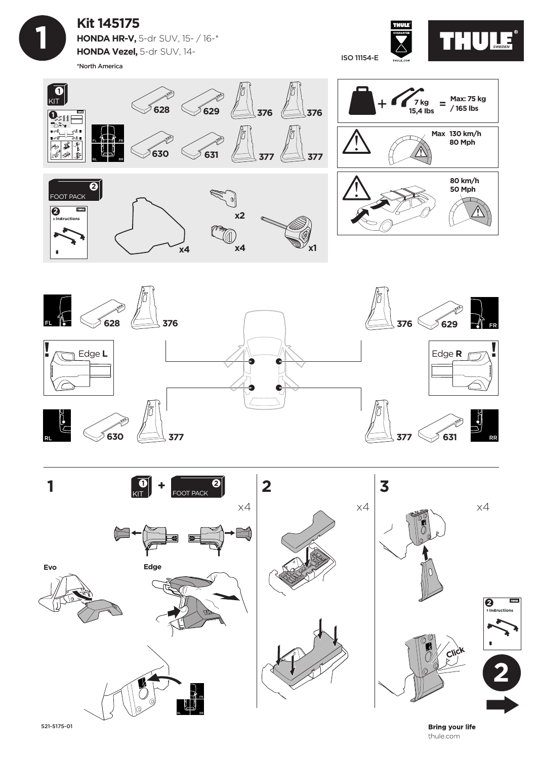

## **Kit 145175 HONDA HR-V,** 5-dr SUV, 15- / 16-\* **HONDA Vezel,** 5-dr SUV, 14-

\*North America





![](_page_0_Figure_5.jpeg)

![](_page_0_Picture_6.jpeg)

**Bring your life** thule.com

521-5175-01